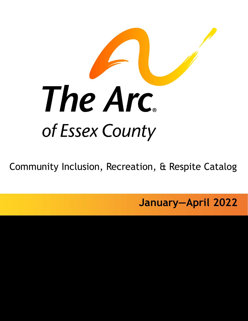

Community Inclusion, Recreation, & Respite Catalog

**January—April 2022**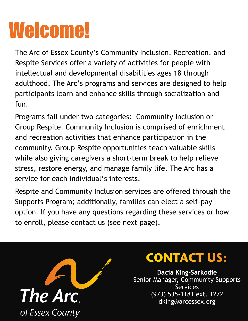# Welcome!

The Arc of Essex County's Community Inclusion, Recreation, and Respite Services offer a variety of activities for people with intellectual and developmental disabilities ages 18 through adulthood. The Arc's programs and services are designed to help participants learn and enhance skills through socialization and fun.

Programs fall under two categories: Community Inclusion or Group Respite. Community Inclusion is comprised of enrichment and recreation activities that enhance participation in the community. Group Respite opportunities teach valuable skills while also giving caregivers a short-term break to help relieve stress, restore energy, and manage family life. The Arc has a service for each individual's interests.

Respite and Community Inclusion services are offered through the Supports Program; additionally, families can elect a self-pay option. If you have any questions regarding these services or how to enroll, please contact us (see next page).



### **CONTACT US:**

**Dacia King-Sarkodie**  Senior Manager, Community Supports Services (973) 535-1181 ext. 1272 dking@arcessex.org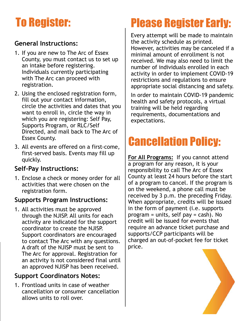### To Register:

### **General Instructions:**

- 1. If you are new to The Arc of Essex County, you must contact us to set up an intake before registering. Individuals currently participating with The Arc can proceed with registration.
- 2. Using the enclosed registration form, fill out your contact information, circle the activities and dates that you want to enroll in, circle the way in which you are registering: Self Pay, Supports Program, or RLC/Self Directed, and mail back to The Arc of Essex County.
- 3. All events are offered on a first-come, first-served basis. Events may fill up quickly.

### **Self-Pay Instructions:**

1. Enclose a check or money order for all activities that were chosen on the registration form.

### **Supports Program Instructions:**

1. All activities must be approved through the NJISP. All units for each activity are indicated for the support coordinator to create the NJISP. Support coordinators are encouraged to contact The Arc with any questions. A draft of the NJISP must be sent to The Arc for approval. Registration for an activity is not considered final until an approved NJISP has been received.

### **Support Coordinators Notes:**

1. Frontload units in case of weather cancellation or consumer cancellation allows units to roll over.

### Please Register Early:

Every attempt will be made to maintain the activity schedule as printed. However, activities may be canceled if a minimal amount of enrollment is not received. We may also need to limit the number of individuals enrolled in each activity in order to implement COVID-19 restrictions and regulations to ensure appropriate social distancing and safety.

In order to maintain COVID-19 pandemic health and safety protocols, a virtual training will be held regarding requirements, documentations and expectations.

### Cancellation Policy:

**For All Programs:** If you cannot attend a program for any reason, it is your responsibility to call The Arc of Essex County at least 24 hours before the start of a program to cancel. If the program is on the weekend, a phone call must be received by 3 p.m. the preceding Friday. When appropriate, credits will be issued in the form of payment (i.e. supports program = units, self pay = cash). No credit will be issued for events that require an advance ticket purchase and supports/CCP participants will be charged an out-of-pocket fee for ticket price.

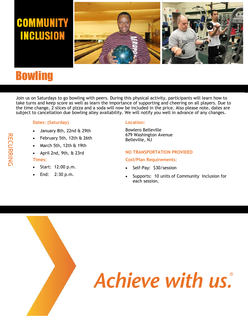### **COMMUNITY INCLUSION**



### **Bowling**

Join us on Saturdays to go bowling with peers. During this physical activity, participants will learn how to take turns and keep score as well as learn the importance of supporting and cheering on all players. Due to the time change, 2 slices of pizza and a soda will now be included in the price. Also please note, dates are subject to cancellation due bowling alley availability. We will notify you well in advance of any changes.

### **Dates: (Saturday)**

- January 8th, 22nd & 29th
- February 5th, 12th & 26th
- March 5th, 12th & 19th
- April 2nd, 9th, & 23rd

#### **Times:**

- Start: 12:00 p.m.
- End: 2:30 p.m.

#### **Location:**

Bowlero Belleville 679 Washington Avenue Belleville, NJ

#### **NO TRANSPORTATION PROVIDED**

#### **Cost/Plan Requirements:**

- Self-Pay: \$30/session
- Supports: 10 units of Community Inclusion for each session.

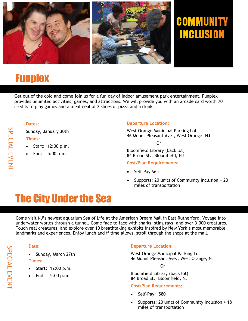

### COMMUNITY **INCLUSION**

### **Funplex**

Get out of the cold and come join us for a fun day of indoor amusement park entertainment. Funplex provides unlimited activities, games, and attractions. We will provide you with an arcade card worth 70 credits to play games and a meal deal of 2 slices of pizza and a drink.

### **Dates:**

Sunday, January 30th

### **Times:**

- Start: 12:00 p.m.
- End: 5:00 p.m.

### **Departure Location:**

West Orange Municipal Parking Lot 46 Mount Pleasant Ave., West Orange, NJ

Or

Bloomfield Library (back lot) 84 Broad St., Bloomfield, NJ

### **Cost/Plan Requirements:**

- Self-Pay \$65
- Supports: 20 units of Community Inclusion + 20 miles of transportation

### The City Under the Sea

Come visit NJ's newest aquarium Sea of Life at the American Dream Mall in East Rutherford. Voyage into underwater worlds through a tunnel. Come face to face with sharks, sting rays, and over 3,000 creatures. Touch real creatures, and explore over 10 breathtaking exhibits inspired by New York's most memorable landmarks and experiences. Enjoy lunch and if time allows, stroll through the shops at the mall.

### **Date:**

• Sunday, March 27th

### **Times:**

- Start: 12:00 p.m.
- End: 5:00 p.m.

### **Departure Location:**

West Orange Municipal Parking Lot 46 Mount Pleasant Ave., West Orange, NJ

Or

Bloomfield Library (back lot) 84 Broad St., Bloomfield, NJ

### **Cost/Plan Requirements:**

- Self-Pay: \$80
- Supports: 20 units of Community Inclusion + 18 miles of transportation

SPECIAL EVENT SPECIAL EVENT

SPECIAL EVENT SPECIAL EVENT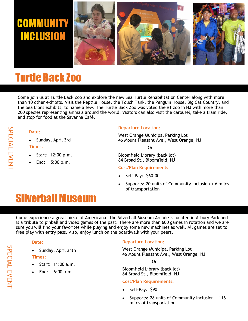

### Turtle Back Zoo

Come join us at Turtle Back Zoo and explore the new Sea Turtle Rehabilitation Center along with more than 10 other exhibits. Visit the Reptile House, the Touch Tank, the Penguin House, Big Cat Country, and the Sea Lions exhibits, to name a few. The Turtle Back Zoo was voted the #1 zoo in NJ with more than 200 species representing animals around the world. Visitors can also visit the carousel, take a train ride, and stop for food at the Savanna Café.

# SPECIAL EVENT SPECIAL EVENT

• Start: 12:00 p.m.

• Sunday, April 3rd

**Date:**

**Times:**

• End: 5:00 p.m.

#### **Departure Location:**

West Orange Municipal Parking Lot 46 Mount Pleasant Ave., West Orange, NJ

Or

Bloomfield Library (back lot) 84 Broad St., Bloomfield, NJ

### **Cost/Plan Requirements:**

- Self-Pay: \$60.00
- Supports: 20 units of Community Inclusion + 6 miles of transportation

### Silverball Museum

Come experience a great piece of Americana. The Silverball Museum Arcade is located in Asbury Park and is a tribute to pinball and video games of the past. There are more than 600 games in rotation and we are sure you will find your favorites while playing and enjoy some new machines as well. All games are set to free play with entry pass. Also, enjoy lunch on the boardwalk with your peers.

### **Date:**

• Sunday, April 24th

### **Times:**

- Start: 11:00 a.m.
- End: 6:00 p.m.

### **Departure Location:**

West Orange Municipal Parking Lot 46 Mount Pleasant Ave., West Orange, NJ

Or

Bloomfield Library (back lot) 84 Broad St., Bloomfield, NJ

### **Cost/Plan Requirements:**

- Self-Pay: \$90
- Supports: 28 units of Community Inclusion + 116 miles of transportation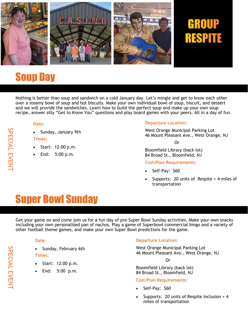

# **RESPITE**

### Soup Day

Nothing is better than soup and sandwich on a cold January day. Let's mingle and get to know each other over a steamy bowl of soup and hot biscuits. Make your own individual bowl of soup, biscuit, and dessert and we will provide the sandwiches. Learn how to build the perfect soup and make up your own soup recipe, answer silly "Get to Know You" questions and play board games with your peers. All in a day of fun.

#### **Date:**

• Sunday, January 9th

#### **Times:**

- Start: 12:00 p.m.
- End: 5:00 p.m.

### **Departure Location:**

West Orange Municipal Parking Lot 46 Mount Pleasant Ave., West Orange, NJ

Or

Bloomfield Library (back lot) 84 Broad St., Bloomfield, NJ

#### **Cost/Plan Requirements:**

- Self-Pay: \$60
- Supports: 20 units of Respite + 4 miles of transportation

### Super Bowl Sunday

Get your game on and come join us for a fun day of pre-Super Bowl Sunday activities. Make your own snacks including your own personalized pan of nachos. Play a game of Superbowl commercial bingo and a variety of other football theme games, and make your own Super Bowl predictions for the game.

### **Date:**

• Sunday, February 6th

**Times:**

- Start: 12:00 p.m.
- End: 5:00 p.m.

### **Departure Location:**

West Orange Municipal Parking Lot 46 Mount Pleasant Ave., West Orange, NJ

Or

Bloomfield Library (back lot) 84 Broad St., Bloomfield, NJ

### **Cost/Plan Requirements:**

- Self-Pay: \$60
- Supports: 20 units of Respite Inclusion + 4 miles of transportation

SPECIAL EVENT

SPECIAL EVENT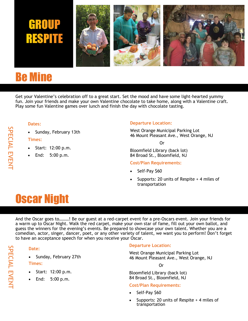

### Be Mine

Get your Valentine's celebration off to a great start. Set the mood and have some light-hearted yummy fun. Join your friends and make your own Valentine chocolate to take home, along with a Valentine craft. Play some fun Valentine games over lunch and finish the day with chocolate tasting.

### **Dates:**

• Sunday, February 13th

### **Times:**

- Start: 12:00 p.m.
- End: 5:00 p.m.

### **Departure Location:**

West Orange Municipal Parking Lot 46 Mount Pleasant Ave., West Orange, NJ

Or

Bloomfield Library (back lot) 84 Broad St., Bloomfield, NJ

### **Cost/Plan Requirements:**

- Self-Pay \$60
- Supports: 20 units of Respite + 4 miles of transportation

### Oscar Night

And the Oscar goes to………! Be our guest at a red-carpet event for a pre-Oscars event. Join your friends for a warm up to Oscar Night. Walk the red carpet, make your own star of fame, fill out your own ballot, and guess the winners for the evening's events. Be prepared to showcase your own talent. Whether you are a comedian, actor, singer, dancer, poet, or any other variety of talent, we want you to perform! Don't forget to have an acceptance speech for when you receive your Oscar.

### **Date:**

• Sunday, February 27th

**Times:**

- Start: 12:00 p.m.
- End: 5:00 p.m.

### **Departure Location:**

West Orange Municipal Parking Lot 46 Mount Pleasant Ave., West Orange, NJ

Or

Bloomfield Library (back lot) 84 Broad St., Bloomfield, NJ

### **Cost/Plan Requirements:**

- Self-Pay \$60
- Supports: 20 units of Respite + 4 miles of transportation

SPECIAL EVENT SPECIAL EVENT

# SPECIAL EVENT SPECIAL EVENT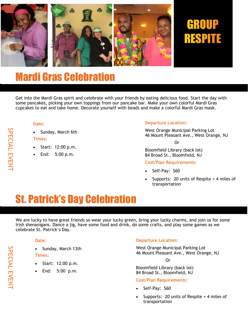

### Mardi Gras Celebration

Get into the Mardi Gras spirit and celebrate with your friends by eating delicious food. Start the day with some pancakes, picking your own toppings from our pancake bar. Make your own colorful Mardi Gras cupcakes to eat and take home. Decorate yourself with beads and make a colorful Mardi Gras mask.

#### **Date:**

Sunday, March 6th

#### **Times:**

- Start: 12:00 p.m.
- End: 5:00 p.m.

### **Departure Location:**

West Orange Municipal Parking Lot 46 Mount Pleasant Ave., West Orange, NJ

Or

Bloomfield Library (back lot) 84 Broad St., Bloomfield, NJ

#### **Cost/Plan Requirements:**

- Self-Pay: \$60
- Supports: 20 units of Respite + 4 miles of transportation

### St. Patrick's Day Celebration

We are lucky to have great friends so wear your lucky green, bring your lucky charms, and join us for some Irish shenanigans. Dance a jig, have some food and drink, do some crafts, and play some games as we celebrate St. Patrick's Day.

#### **Date:**

• Sunday, March 13th

**Times:**

- Start: 12:00 p.m.
- End: 5:00 p.m.

### **Departure Location:**

West Orange Municipal Parking Lot 46 Mount Pleasant Ave., West Orange, NJ

Or

Bloomfield Library (back lot) 84 Broad St., Bloomfield, NJ

### **Cost/Plan Requirements:**

- Self-Pay: \$60
- Supports: 20 units of Respite + 4 miles of transportation

SPECIAL EVENT

SPECIAL EVENT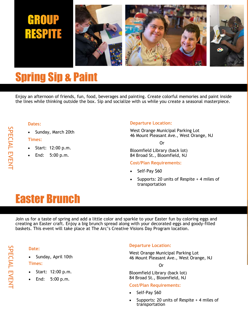# **RESPITE**



### Spring Sip & Paint

Enjoy an afternoon of friends, fun, food, beverages and painting. Create colorful memories and paint inside the lines while thinking outside the box. Sip and socialize with us while you create a seasonal masterpiece.

#### **Dates:**

• Sunday, March 20th

### **Times:**

- Start: 12:00 p.m.
- End: 5:00 p.m.

### **Departure Location:**

West Orange Municipal Parking Lot 46 Mount Pleasant Ave., West Orange, NJ

Or

Bloomfield Library (back lot) 84 Broad St., Bloomfield, NJ

### **Cost/Plan Requirements:**

- Self-Pay \$60
- Supports: 20 units of Respite + 4 miles of transportation

### Easter Brunch

Join us for a taste of spring and add a little color and sparkle to your Easter fun by coloring eggs and creating an Easter craft. Enjoy a big brunch spread along with your decorated eggs and goody-filled baskets. This event will take place at The Arc's Creative Visions Day Program location.

### **Date:**

• Sunday, April 10th **Times:**

- Start: 12:00 p.m.
- End: 5:00 p.m.

### **Departure Location:**

West Orange Municipal Parking Lot 46 Mount Pleasant Ave., West Orange, NJ

Or

Bloomfield Library (back lot) 84 Broad St., Bloomfield, NJ

### **Cost/Plan Requirements:**

- Self-Pay \$60
- Supports: 20 units of Respite + 4 miles of transportation

SPECIAL EVENT SPECIAL EVENT

# SPECIAL EVENT SPECIAL EVENT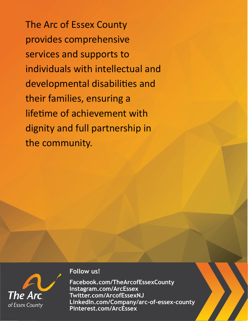The Arc of Essex County provides comprehensive services and supports to individuals with intellectual and developmental disabilities and their families, ensuring a lifetime of achievement with dignity and full partnership in the community.



### **Follow us!**

**Facebook.com/TheArcofEssexCounty Instagram.com/ArcEssex Twitter.com/ArcofEssexNJ LinkedIn.com/Company/arc-of-essex-county Pinterest.com/ArcEssex**